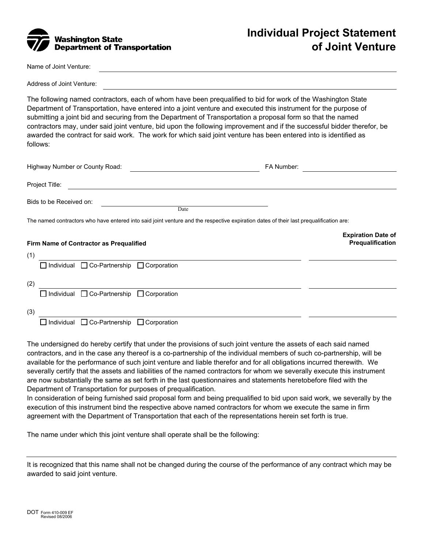

Name of Joint Venture:

Address of Joint Venture:

The following named contractors, each of whom have been prequalified to bid for work of the Washington State Department of Transportation, have entered into a joint venture and executed this instrument for the purpose of submitting a joint bid and securing from the Department of Transportation a proposal form so that the named contractors may, under said joint venture, bid upon the following improvement and if the successful bidder therefor, be awarded the contract for said work. The work for which said joint venture has been entered into is identified as follows:

| Highway Number or County Road:                                |                                                                                                                                        | FA Number:                                           |
|---------------------------------------------------------------|----------------------------------------------------------------------------------------------------------------------------------------|------------------------------------------------------|
| Project Title:                                                |                                                                                                                                        |                                                      |
| Bids to be Received on:                                       | Date                                                                                                                                   |                                                      |
|                                                               | The named contractors who have entered into said joint venture and the respective expiration dates of their last prequalification are: |                                                      |
| Firm Name of Contractor as Prequalified                       |                                                                                                                                        | <b>Expiration Date of</b><br><b>Prequalification</b> |
| (1)                                                           |                                                                                                                                        |                                                      |
| $\Box$ Individual $\Box$ Co-Partnership $\Box$ Corporation    |                                                                                                                                        |                                                      |
| (2)                                                           |                                                                                                                                        |                                                      |
| $\Box$ Individual $\Box$ Co-Partnership $\Box$ Corporation    |                                                                                                                                        |                                                      |
| (3)                                                           |                                                                                                                                        |                                                      |
| $\Box$ Individual<br>$\Box$ Co-Partnership $\Box$ Corporation |                                                                                                                                        |                                                      |

The undersigned do hereby certify that under the provisions of such joint venture the assets of each said named contractors, and in the case any thereof is a co-partnership of the individual members of such co-partnership, will be available for the performance of such joint venture and liable therefor and for all obligations incurred therewith. We severally certify that the assets and liabilities of the named contractors for whom we severally execute this instrument are now substantially the same as set forth in the last questionnaires and statements heretobefore filed with the Department of Transportation for purposes of prequalification.

In consideration of being furnished said proposal form and being prequalified to bid upon said work, we severally by the execution of this instrument bind the respective above named contractors for whom we execute the same in firm agreement with the Department of Transportation that each of the representations herein set forth is true.

The name under which this joint venture shall operate shall be the following:

It is recognized that this name shall not be changed during the course of the performance of any contract which may be awarded to said joint venture.